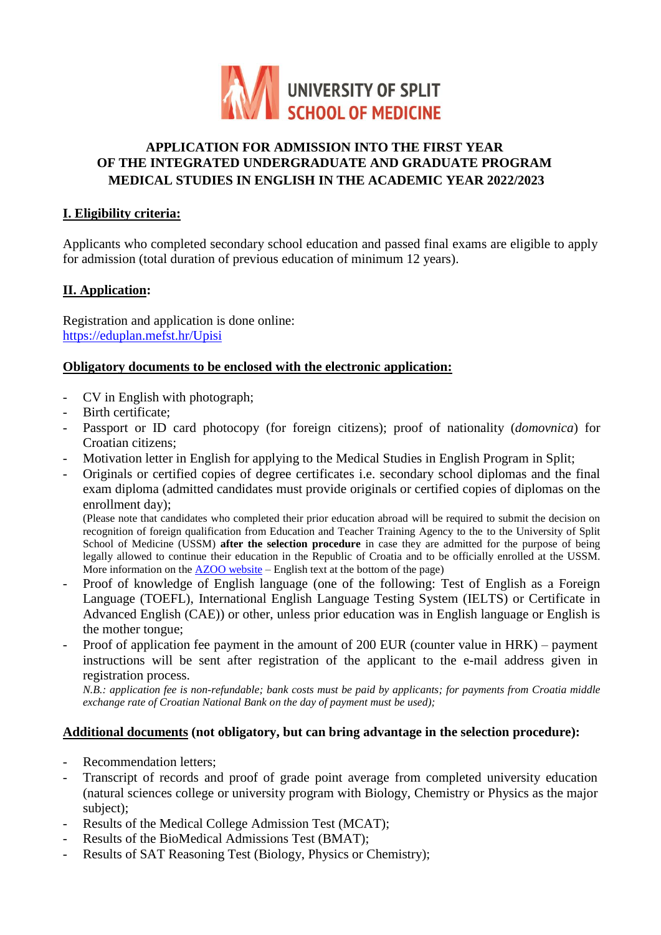

# **APPLICATION FOR ADMISSION INTO THE FIRST YEAR OF THE INTEGRATED UNDERGRADUATE AND GRADUATE PROGRAM MEDICAL STUDIES IN ENGLISH IN THE ACADEMIC YEAR 2022/2023**

### **I. Eligibility criteria:**

Applicants who completed secondary school education and passed final exams are eligible to apply for admission (total duration of previous education of minimum 12 years).

# **II. Application:**

Registration and application is done online: <https://eduplan.mefst.hr/Upisi>

## **Obligatory documents to be enclosed with the electronic application:**

- CV in English with photograph;
- Birth certificate;
- Passport or ID card photocopy (for foreign citizens); proof of nationality (*domovnica*) for Croatian citizens;
- Motivation letter in English for applying to the Medical Studies in English Program in Split;
- Originals or certified copies of degree certificates i.e. secondary school diplomas and the final exam diploma (admitted candidates must provide originals or certified copies of diplomas on the enrollment day);

(Please note that candidates who completed their prior education abroad will be required to submit the decision on recognition of foreign qualification from Education and Teacher Training Agency to the to the University of Split School of Medicine (USSM) **after the selection procedure** in case they are admitted for the purpose of being legally allowed to continue their education in the Republic of Croatia and to be officially enrolled at the USSM. More information on the [AZOO website](https://www.azoo.hr/inozemne-obrazovne-kvalifikacije/) – English text at the bottom of the page)

- Proof of knowledge of English language (one of the following: Test of English as a Foreign Language (TOEFL), International English Language Testing System (IELTS) or Certificate in Advanced English (CAE)) or other, unless prior education was in English language or English is the mother tongue;
- Proof of application fee payment in the amount of 200 EUR (counter value in HRK) payment instructions will be sent after registration of the applicant to the e-mail address given in registration process.

*N.B.: application fee is non-refundable; bank costs must be paid by applicants; for payments from Croatia middle exchange rate of Croatian National Bank on the day of payment must be used);* 

# **Additional documents (not obligatory, but can bring advantage in the selection procedure):**

- Recommendation letters;
- Transcript of records and proof of grade point average from completed university education (natural sciences college or university program with Biology, Chemistry or Physics as the major subject);
- Results of the Medical College Admission Test (MCAT);
- Results of the BioMedical Admissions Test (BMAT);
- Results of SAT Reasoning Test (Biology, Physics or Chemistry);